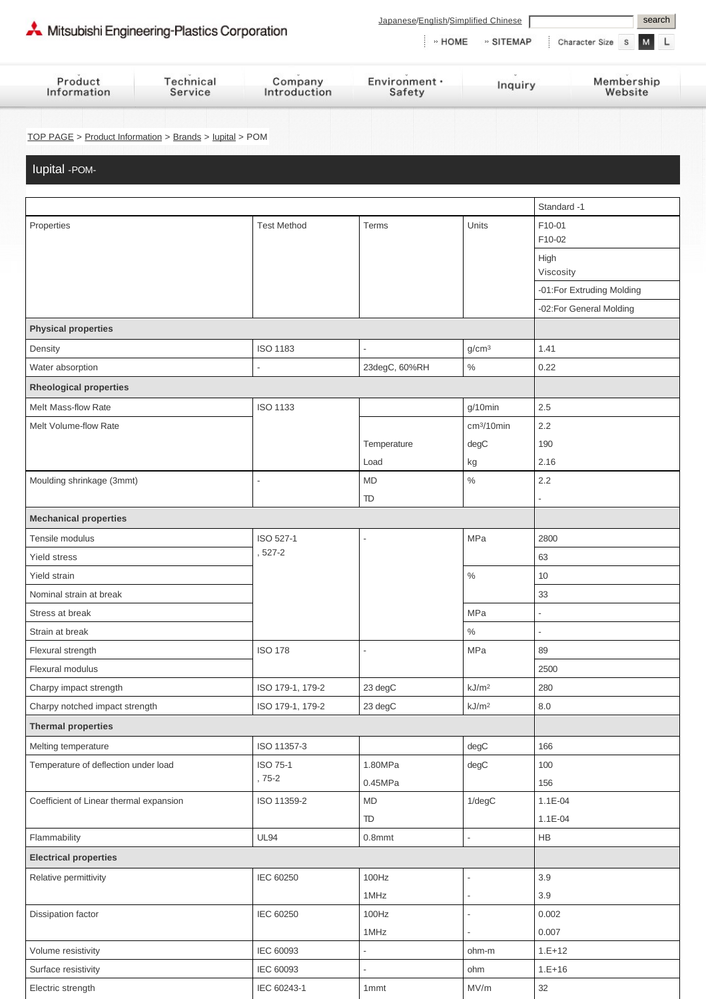| Mitsubishi Engineering-Plastics Corporation |           |              | search<br>Japanese/English/Simplified Chinese<br>M<br>» HOME<br>» SITEMAP<br>Character Size S |         |            |  |  |
|---------------------------------------------|-----------|--------------|-----------------------------------------------------------------------------------------------|---------|------------|--|--|
| Product                                     | Technical | Company      | Environment ·                                                                                 | Inquiry | Membership |  |  |
| Information                                 | Service   | Introduction | Safety                                                                                        |         | Website    |  |  |

[TOP PAGE](http://www.m-ep.co.jp/en/index.html) > [Product Information](http://www.m-ep.co.jp/en/product/index.html) > [Brands](http://www.m-ep.co.jp/en/product/brand/index.html) > [Iupital](http://www.m-ep.co.jp/en/product/brand/iupital/index.html) > POM

Iupital -POM-

|                                         |                    |                |                        | Standard -1               |
|-----------------------------------------|--------------------|----------------|------------------------|---------------------------|
| Properties                              | <b>Test Method</b> | Terms          | Units                  | F10-01                    |
|                                         |                    |                |                        | F10-02                    |
|                                         |                    |                |                        | High                      |
|                                         |                    |                |                        | Viscosity                 |
|                                         |                    |                |                        | -01:For Extruding Molding |
| <b>Physical properties</b>              |                    |                |                        | -02:For General Molding   |
|                                         |                    |                |                        |                           |
| Density                                 | <b>ISO 1183</b>    |                | g/cm <sup>3</sup>      | 1.41                      |
| Water absorption                        |                    | 23degC, 60%RH  | $\%$                   | 0.22                      |
| <b>Rheological properties</b>           |                    |                |                        |                           |
| Melt Mass-flow Rate                     | <b>ISO 1133</b>    |                | g/10min                | 2.5                       |
| Melt Volume-flow Rate                   |                    |                | cm <sup>3</sup> /10min | 2.2                       |
|                                         |                    | Temperature    | degC                   | 190                       |
|                                         |                    | Load           | kg                     | 2.16                      |
| Moulding shrinkage (3mmt)               |                    | <b>MD</b>      | $\%$                   | 2.2                       |
|                                         |                    | TD             |                        |                           |
| <b>Mechanical properties</b>            |                    |                |                        |                           |
| Tensile modulus                         | ISO 527-1          |                | MPa                    | 2800                      |
| <b>Yield stress</b>                     | 527-2              |                |                        | 63                        |
| Yield strain                            |                    |                | $\%$                   | 10                        |
| Nominal strain at break                 |                    |                |                        | 33                        |
| Stress at break                         |                    |                | MPa                    | ÷,                        |
| Strain at break                         |                    |                | $\%$                   | ÷,                        |
| Flexural strength                       | <b>ISO 178</b>     | $\overline{a}$ | MPa                    | 89                        |
| Flexural modulus                        |                    |                |                        | 2500                      |
| Charpy impact strength                  | ISO 179-1, 179-2   | 23 degC        | kJ/m <sup>2</sup>      | 280                       |
| Charpy notched impact strength          | ISO 179-1, 179-2   | 23 degC        | kJ/m <sup>2</sup>      | 8.0                       |
| <b>Thermal properties</b>               |                    |                |                        |                           |
| Melting temperature                     | ISO 11357-3        |                | degC                   | 166                       |
| Temperature of deflection under load    | ISO 75-1           | 1.80MPa        | degC                   | 100                       |
|                                         | , 75-2             | 0.45MPa        |                        | 156                       |
| Coefficient of Linear thermal expansion | ISO 11359-2        | <b>MD</b>      | $1$ /deg $C$           | $1.1E - 04$               |
|                                         |                    | TD             |                        | $1.1E-04$                 |
| Flammability                            | <b>UL94</b>        | $0.8$ mmt      | ÷,                     | HB                        |
| <b>Electrical properties</b>            |                    |                |                        |                           |
| Relative permittivity                   | IEC 60250          | 100Hz          |                        | 3.9                       |
|                                         |                    | 1MHz           |                        | 3.9                       |
| Dissipation factor                      | IEC 60250          | 100Hz          |                        | 0.002                     |
|                                         |                    | 1MHz           |                        | 0.007                     |
| Volume resistivity                      | IEC 60093          | L              | ohm-m                  | $1.E+12$                  |
| Surface resistivity                     | IEC 60093          |                | ohm                    | $1.E+16$                  |
| Electric strength                       | IEC 60243-1        | 1mmt           | MV/m                   | 32                        |